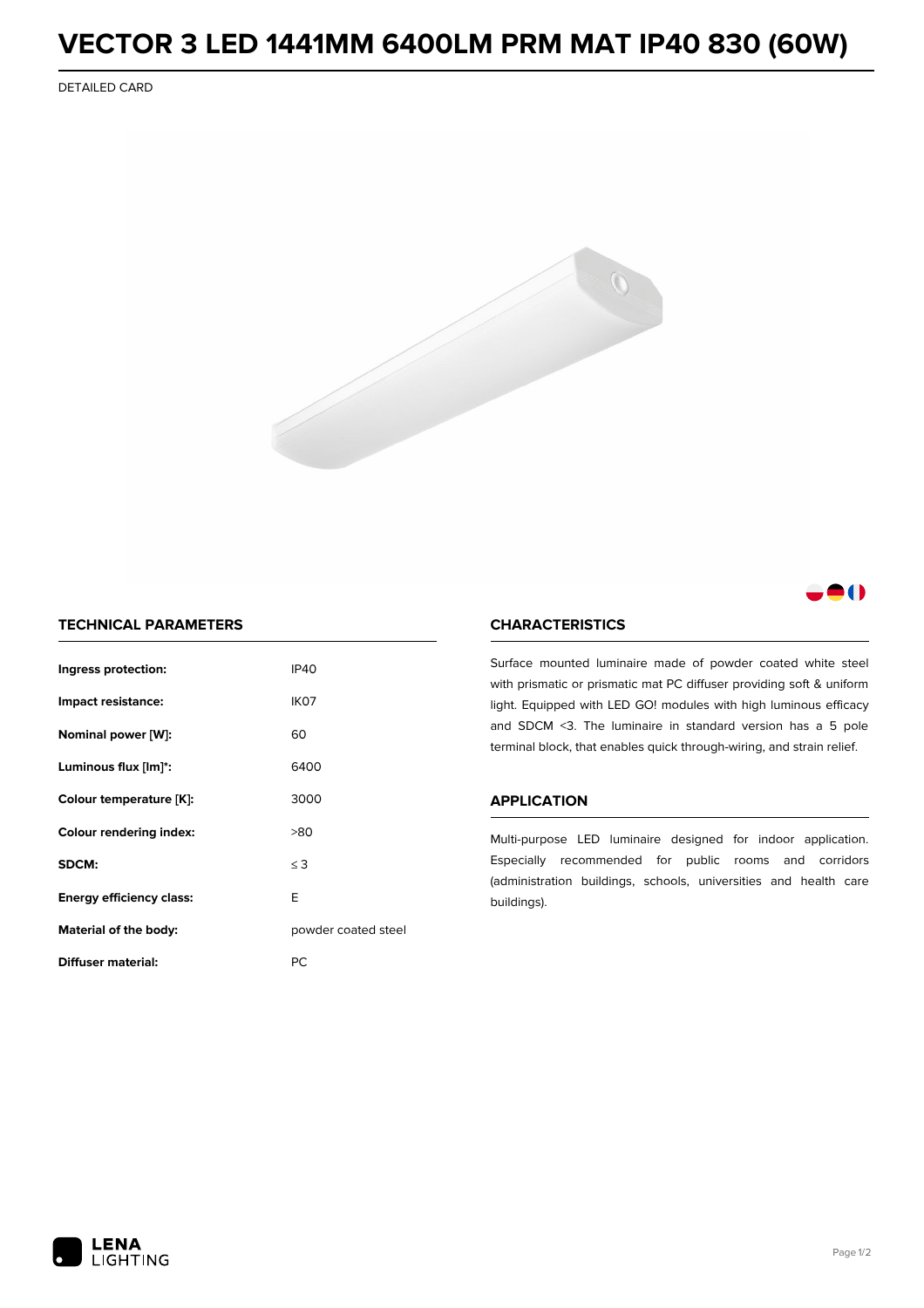# **VECTOR 3 LED 1441MM 6400LM PRM MAT IP40 830 (60W)**

DETAILED CARD





## **TECHNICAL PARAMETERS**

| Ingress protection:             | IP40                |  |
|---------------------------------|---------------------|--|
| Impact resistance:              | IK07                |  |
| Nominal power [W]:              | 60                  |  |
| Luminous flux [lm]*:            | 6400                |  |
| Colour temperature [K]:         | 3000                |  |
| <b>Colour rendering index:</b>  | >80                 |  |
| SDCM:                           | $\leq$ 3            |  |
| <b>Energy efficiency class:</b> | F                   |  |
| Material of the body:           | powder coated steel |  |
| Diffuser material:              | РC                  |  |

### **CHARACTERISTICS**

Surface mounted luminaire made of powder coated white steel with prismatic or prismatic mat PC diffuser providing soft & uniform light. Equipped with LED GO! modules with high luminous efficacy and SDCM <3. The luminaire in standard version has a 5 pole terminal block, that enables quick through-wiring, and strain relief.

#### **APPLICATION**

Multi-purpose LED luminaire designed for indoor application. Especially recommended for public rooms and corridors (administration buildings, schools, universities and health care buildings).